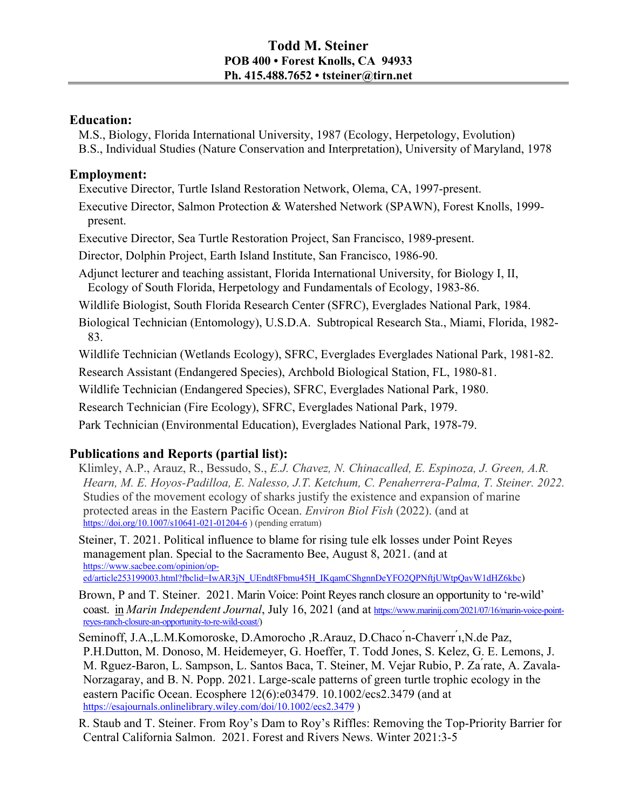## **Education:**

M.S., Biology, Florida International University, 1987 (Ecology, Herpetology, Evolution) B.S., Individual Studies (Nature Conservation and Interpretation), University of Maryland, 1978

# **Employment:**

Executive Director, Turtle Island Restoration Network, Olema, CA, 1997-present.

Executive Director, Salmon Protection & Watershed Network (SPAWN), Forest Knolls, 1999 present.

Executive Director, Sea Turtle Restoration Project, San Francisco, 1989-present.

Director, Dolphin Project, Earth Island Institute, San Francisco, 1986-90.

Adjunct lecturer and teaching assistant, Florida International University, for Biology I, II, Ecology of South Florida, Herpetology and Fundamentals of Ecology, 1983-86.

Wildlife Biologist, South Florida Research Center (SFRC), Everglades National Park, 1984.

Biological Technician (Entomology), U.S.D.A. Subtropical Research Sta., Miami, Florida, 1982- 83.

Wildlife Technician (Wetlands Ecology), SFRC, Everglades Everglades National Park, 1981-82.

Research Assistant (Endangered Species), Archbold Biological Station, FL, 1980-81.

Wildlife Technician (Endangered Species), SFRC, Everglades National Park, 1980.

Research Technician (Fire Ecology), SFRC, Everglades National Park, 1979.

Park Technician (Environmental Education), Everglades National Park, 1978-79.

# **Publications and Reports (partial list):**

Klimley, A.P., Arauz, R., Bessudo, S., *E.J. Chavez, N. Chinacalled, E. Espinoza, J. Green, A.R. Hearn, M. E. Hoyos-Padilloa, E. Nalesso, J.T. Ketchum, C. Penaherrera-Palma, T. Steiner. 2022.*  Studies of the movement ecology of sharks justify the existence and expansion of marine protected areas in the Eastern Pacific Ocean. *Environ Biol Fish* (2022). (and at https://doi.org/10.1007/s10641-021-01204-6 ) (pending erratum)

Steiner, T. 2021. Political influence to blame for rising tule elk losses under Point Reyes management plan. Special to the Sacramento Bee, August 8, 2021. (and at https://www.sacbee.com/opinion/oped/article253199003.html?fbclid=IwAR3jN\_UEndt8Fbmu45H\_IKqamCShgnnDeYFO2QPNftjUWtpQavW1dHZ6kbc)

Brown, P and T. Steiner. 2021. Marin Voice: Point Reyes ranch closure an opportunity to 're-wild' coast. in *Marin Independent Journal*, July 16, 2021 (and at https://www.marinij.com/2021/07/16/marin-voice-pointreyes-ranch-closure-an-opportunity-to-re-wild-coast/)

Seminoff, J.A.,L.M.Komoroske, D.Amorocho ,R.Arauz, D.Chaco ́n-Chaverr ́ı,N.de Paz, P.H.Dutton, M. Donoso, M. Heidemeyer, G. Hoeffer, T. Todd Jones, S. Kelez, G. E. Lemons, J. M. Rguez-Baron, L. Sampson, L. Santos Baca, T. Steiner, M. Vejar Rubio, P. Za ́rate, A. Zavala-Norzagaray, and B. N. Popp. 2021. Large-scale patterns of green turtle trophic ecology in the eastern Pacific Ocean. Ecosphere 12(6):e03479. 10.1002/ecs2.3479 (and at https://esajournals.onlinelibrary.wiley.com/doi/10.1002/ecs2.3479 )

R. Staub and T. Steiner. From Roy's Dam to Roy's Riffles: Removing the Top-Priority Barrier for Central California Salmon. 2021. Forest and Rivers News. Winter 2021:3-5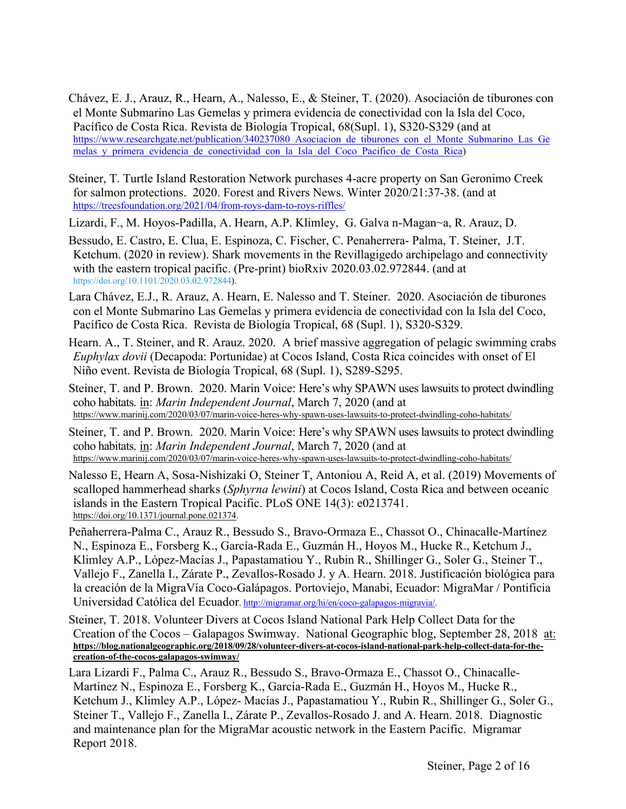- Chávez, E. J., Arauz, R., Hearn, A., Nalesso, E., & Steiner, T. (2020). Asociación de tiburones con el Monte Submarino Las Gemelas y primera evidencia de conectividad con la Isla del Coco, Pacífico de Costa Rica. Revista de Biología Tropical, 68(Supl. 1), S320-S329 (and at https://www.researchgate.net/publication/340237080 Asociacion de tiburones con el Monte Submarino Las Ge melas y primera evidencia de conectividad con la Isla del Coco Pacifico de Costa Rica)
- Steiner, T. Turtle Island Restoration Network purchases 4-acre property on San Geronimo Creek for salmon protections. 2020. Forest and Rivers News. Winter 2020/21:37-38. (and at https://treesfoundation.org/2021/04/from-roys-dam-to-roys-riffles/
- Lizardi, F., M. Hoyos-Padilla, A. Hearn, A.P. Klimley, G. Galva n-Magan~a, R. Arauz, D.
- Bessudo, E. Castro, E. Clua, E. Espinoza, C. Fischer, C. Penaherrera- Palma, T. Steiner, J.T. Ketchum. (2020 in review). Shark movements in the Revillagigedo archipelago and connectivity with the eastern tropical pacific. (Pre-print) bioRxiv 2020.03.02.972844. (and at https://doi.org/10.1101/2020.03.02.972844).
- Lara Chávez, E.J., R. Arauz, A. Hearn, E. Nalesso and T. Steiner. 2020. Asociación de tiburones con el Monte Submarino Las Gemelas y primera evidencia de conectividad con la Isla del Coco, Pacífico de Costa Rica. Revista de Biología Tropical, 68 (Supl. 1), S320-S329.
- Hearn. A., T. Steiner, and R. Arauz. 2020. A brief massive aggregation of pelagic swimming crabs *Euphylax dovii* (Decapoda: Portunidae) at Cocos Island, Costa Rica coincides with onset of El Niño event. Revista de Biología Tropical, 68 (Supl. 1), S289-S295.
- Steiner, T. and P. Brown. 2020. Marin Voice: Here's why SPAWN uses lawsuits to protect dwindling coho habitats. in: *Marin Independent Journal*, March 7, 2020 (and at https://www.marinij.com/2020/03/07/marin-voice-heres-why-spawn-uses-lawsuits-to-protect-dwindling-coho-habitats/
- Steiner, T. and P. Brown. 2020. Marin Voice: Here's why SPAWN uses lawsuits to protect dwindling coho habitats. in: *Marin Independent Journal*, March 7, 2020 (and at https://www.marinij.com/2020/03/07/marin-voice-heres-why-spawn-uses-lawsuits-to-protect-dwindling-coho-habitats/
- Nalesso E, Hearn A, Sosa-Nishizaki O, Steiner T, Antoniou A, Reid A, et al. (2019) Movements of scalloped hammerhead sharks (*Sphyrna lewini*) at Cocos Island, Costa Rica and between oceanic islands in the Eastern Tropical Pacific. PLoS ONE 14(3): e0213741. https://doi.org/10.1371/journal.pone.021374.
- Peñaherrera-Palma C., Arauz R., Bessudo S., Bravo-Ormaza E., Chassot O., Chinacalle-Martínez N., Espinoza E., Forsberg K., García-Rada E., Guzmán H., Hoyos M., Hucke R., Ketchum J., Klimley A.P., López-Macías J., Papastamatiou Y., Rubin R., Shillinger G., Soler G., Steiner T., Vallejo F., Zanella I., Zárate P., Zevallos-Rosado J. y A. Hearn. 2018. Justificación biológica para la creación de la MigraVía Coco-Galápagos. Portoviejo, Manabi, Ecuador: MigraMar / Pontificia Universidad Católica del Ecuador. http://migramar.org/hi/en/coco-galapagos-migravia/.
- Steiner, T. 2018. Volunteer Divers at Cocos Island National Park Help Collect Data for the Creation of the Cocos – Galapagos Swimway. National Geographic blog, September 28, 2018 at: **https://blog.nationalgeographic.org/2018/09/28/volunteer-divers-at-cocos-island-national-park-help-collect-data-for-thecreation-of-the-cocos-galapagos-swimway/**
- Lara Lizardi F., Palma C., Arauz R., Bessudo S., Bravo-Ormaza E., Chassot O., Chinacalle-Martínez N., Espinoza E., Forsberg K., García-Rada E., Guzmán H., Hoyos M., Hucke R., Ketchum J., Klimley A.P., López- Macías J., Papastamatiou Y., Rubin R., Shillinger G., Soler G., Steiner T., Vallejo F., Zanella I., Zárate P., Zevallos-Rosado J. and A. Hearn. 2018. Diagnostic and maintenance plan for the MigraMar acoustic network in the Eastern Pacific. Migramar Report 2018.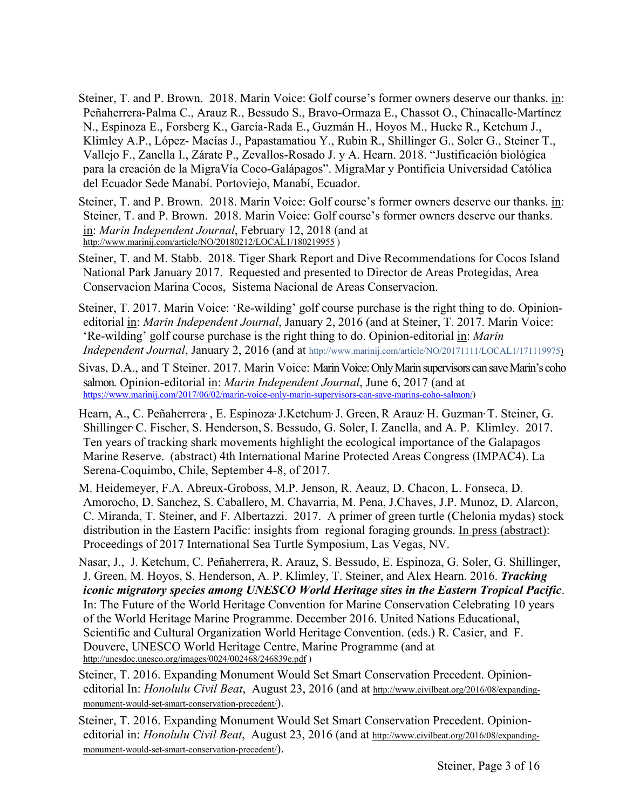Steiner, T. and P. Brown. 2018. Marin Voice: Golf course's former owners deserve our thanks. in: Peñaherrera-Palma C., Arauz R., Bessudo S., Bravo-Ormaza E., Chassot O., Chinacalle-Martínez N., Espinoza E., Forsberg K., García-Rada E., Guzmán H., Hoyos M., Hucke R., Ketchum J., Klimley A.P., López- Macías J., Papastamatiou Y., Rubin R., Shillinger G., Soler G., Steiner T., Vallejo F., Zanella I., Zárate P., Zevallos-Rosado J. y A. Hearn. 2018. "Justificación biológica para la creación de la MigraVía Coco-Galápagos". MigraMar y Pontificia Universidad Católica del Ecuador Sede Manabí. Portoviejo, Manabí, Ecuador.

Steiner, T. and P. Brown. 2018. Marin Voice: Golf course's former owners deserve our thanks. in: Steiner, T. and P. Brown. 2018. Marin Voice: Golf course's former owners deserve our thanks. in: *Marin Independent Journal*, February 12, 2018 (and at http://www.marinij.com/article/NO/20180212/LOCAL1/180219955)

Steiner, T. and M. Stabb. 2018. Tiger Shark Report and Dive Recommendations for Cocos Island National Park January 2017. Requested and presented to Director de Areas Protegidas, Area Conservacion Marina Cocos, Sistema Nacional de Areas Conservacion.

Steiner, T. 2017. Marin Voice: 'Re-wilding' golf course purchase is the right thing to do. Opinioneditorial in: *Marin Independent Journal*, January 2, 2016 (and at Steiner, T. 2017. Marin Voice: 'Re-wilding' golf course purchase is the right thing to do. Opinion-editorial in: *Marin Independent Journal*, January 2, 2016 (and at http://www.marinij.com/article/NO/20171111/LOCAL1/171119975)

Sivas, D.A., and T Steiner. 2017. Marin Voice: Marin Voice: Only Marin supervisors can save Marin's coho salmon. Opinion-editorial in: *Marin Independent Journal*, June 6, 2017 (and at https://www.marinij.com/2017/06/02/marin-voice-only-marin-supervisors-can-save-marins-coho-salmon/)

Hearn, A., C. Peñaherrera, , E. Espinoza, J.Ketchum, J. Green,R Arauz, H. Guzman, T. Steiner, G. Shillinger, C. Fischer, S. Henderson, S. Bessudo, G. Soler, I. Zanella, and A. P. Klimley. 2017. Ten years of tracking shark movements highlight the ecological importance of the Galapagos Marine Reserve. (abstract) 4th International Marine Protected Areas Congress (IMPAC4). La Serena-Coquimbo, Chile, September 4-8, of 2017.

M. Heidemeyer, F.A. Abreux-Groboss, M.P. Jenson, R. Aeauz, D. Chacon, L. Fonseca, D. Amorocho, D. Sanchez, S. Caballero, M. Chavarria, M. Pena, J.Chaves, J.P. Munoz, D. Alarcon, C. Miranda, T. Steiner, and F. Albertazzi. 2017. A primer of green turtle (Chelonia mydas) stock distribution in the Eastern Pacific: insights from regional foraging grounds. In press (abstract): Proceedings of 2017 International Sea Turtle Symposium, Las Vegas, NV.

Nasar, J., J. Ketchum, C. Peñaherrera, R. Arauz, S. Bessudo, E. Espinoza, G. Soler, G. Shillinger, J. Green, M. Hoyos, S. Henderson, A. P. Klimley, T. Steiner, and Alex Hearn. 2016. *Tracking iconic migratory species among UNESCO World Heritage sites in the Eastern Tropical Pacific*. In: The Future of the World Heritage Convention for Marine Conservation Celebrating 10 years of the World Heritage Marine Programme. December 2016. United Nations Educational, Scientific and Cultural Organization World Heritage Convention. (eds.) R. Casier, and F. Douvere, UNESCO World Heritage Centre, Marine Programme (and at http://unesdoc.unesco.org/images/0024/002468/246839e.pdf )

Steiner, T. 2016. Expanding Monument Would Set Smart Conservation Precedent. Opinioneditorial In: *Honolulu Civil Beat*, August 23, 2016 (and at http://www.civilbeat.org/2016/08/expandingmonument-would-set-smart-conservation-precedent/).

Steiner, T. 2016. Expanding Monument Would Set Smart Conservation Precedent. Opinioneditorial in: *Honolulu Civil Beat*, August 23, 2016 (and at http://www.civilbeat.org/2016/08/expandingmonument-would-set-smart-conservation-precedent/).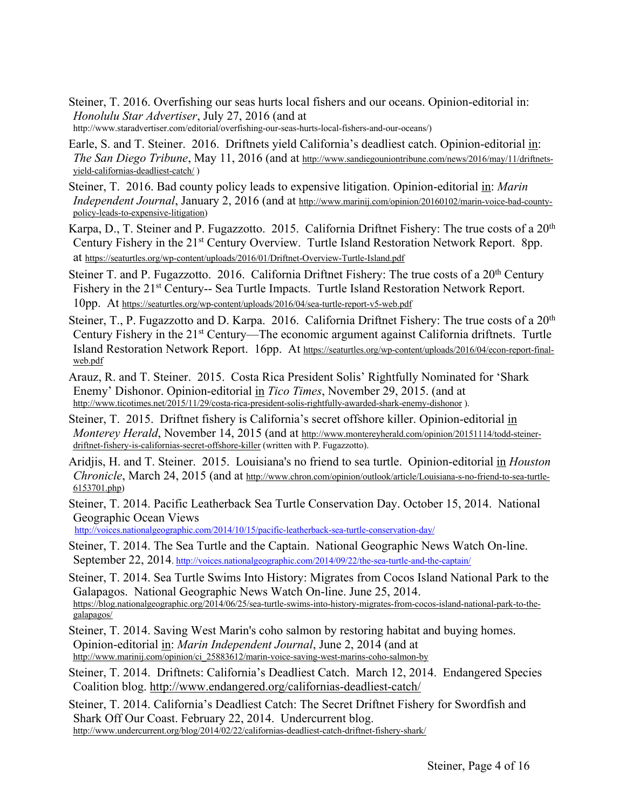- Steiner, T. 2016. Overfishing our seas hurts local fishers and our oceans. Opinion-editorial in: *Honolulu Star Advertiser*, July 27, 2016 (and at http://www.staradvertiser.com/editorial/overfishing-our-seas-hurts-local-fishers-and-our-oceans/)
- Earle, S. and T. Steiner. 2016. Driftnets yield California's deadliest catch. Opinion-editorial in: *The San Diego Tribune*, May 11, 2016 (and at http://www.sandiegouniontribune.com/news/2016/may/11/driftnetsyield-californias-deadliest-catch/ )
- Steiner, T. 2016. Bad county policy leads to expensive litigation. Opinion-editorial in: *Marin Independent Journal*, January 2, 2016 (and at http://www.marinij.com/opinion/20160102/marin-voice-bad-countypolicy-leads-to-expensive-litigation)
- Karpa, D., T. Steiner and P. Fugazzotto. 2015. California Driftnet Fishery: The true costs of a  $20<sup>th</sup>$ Century Fishery in the 21<sup>st</sup> Century Overview. Turtle Island Restoration Network Report. 8pp. at https://seaturtles.org/wp-content/uploads/2016/01/Driftnet-Overview-Turtle-Island.pdf
- Steiner T. and P. Fugazzotto. 2016. California Driftnet Fishery: The true costs of a  $20<sup>th</sup>$  Century Fishery in the 21<sup>st</sup> Century-- Sea Turtle Impacts. Turtle Island Restoration Network Report. 10pp. At https://seaturtles.org/wp-content/uploads/2016/04/sea-turtle-report-v5-web.pdf
- Steiner, T., P. Fugazzotto and D. Karpa. 2016. California Driftnet Fishery: The true costs of a  $20<sup>th</sup>$ Century Fishery in the 21<sup>st</sup> Century—The economic argument against California driftnets. Turtle Island Restoration Network Report. 16pp. At https://seaturtles.org/wp-content/uploads/2016/04/econ-report-finalweb.pdf
- Arauz, R. and T. Steiner. 2015. Costa Rica President Solis' Rightfully Nominated for 'Shark Enemy' Dishonor. Opinion-editorial in *Tico Times*, November 29, 2015. (and at http://www.ticotimes.net/2015/11/29/costa-rica-president-solis-rightfully-awarded-shark-enemy-dishonor ).
- Steiner, T. 2015. Driftnet fishery is California's secret offshore killer. Opinion-editorial in *Monterey Herald*, November 14, 2015 (and at http://www.montereyherald.com/opinion/20151114/todd-steinerdriftnet-fishery-is-californias-secret-offshore-killer (written with P. Fugazzotto).
- Aridjis, H. and T. Steiner. 2015. Louisiana's no friend to sea turtle. Opinion-editorial in *Houston Chronicle*, March 24, 2015 (and at http://www.chron.com/opinion/outlook/article/Louisiana-s-no-friend-to-sea-turtle-6153701.php)
- Steiner, T. 2014. Pacific Leatherback Sea Turtle Conservation Day. October 15, 2014. National Geographic Ocean Views

http://voices.nationalgeographic.com/2014/10/15/pacific-leatherback-sea-turtle-conservation-day/

- Steiner, T. 2014. The Sea Turtle and the Captain. National Geographic News Watch On-line. September 22, 2014. http://voices.nationalgeographic.com/2014/09/22/the-sea-turtle-and-the-captain/
- Steiner, T. 2014. Sea Turtle Swims Into History: Migrates from Cocos Island National Park to the Galapagos. National Geographic News Watch On-line. June 25, 2014.<br>https://blog.nationalgeographic.org/2014/06/25/sea-turtle-swims-into-history-migrates-from-cocos-island-national-park-to-thegalapagos/
- Steiner, T. 2014. Saving West Marin's coho salmon by restoring habitat and buying homes. Opinion-editorial in: *Marin Independent Journal*, June 2, 2014 (and at http://www.marinij.com/opinion/ci\_25883612/marin-voice-saving-west-marins-coho-salmon-by
- Steiner, T. 2014. Driftnets: California's Deadliest Catch. March 12, 2014. Endangered Species Coalition blog. http://www.endangered.org/californias-deadliest-catch/

Steiner, T. 2014. California's Deadliest Catch: The Secret Driftnet Fishery for Swordfish and Shark Off Our Coast. February 22, 2014. Undercurrent blog. http://www.undercurrent.org/blog/2014/02/22/californias-deadliest-catch-driftnet-fishery-shark/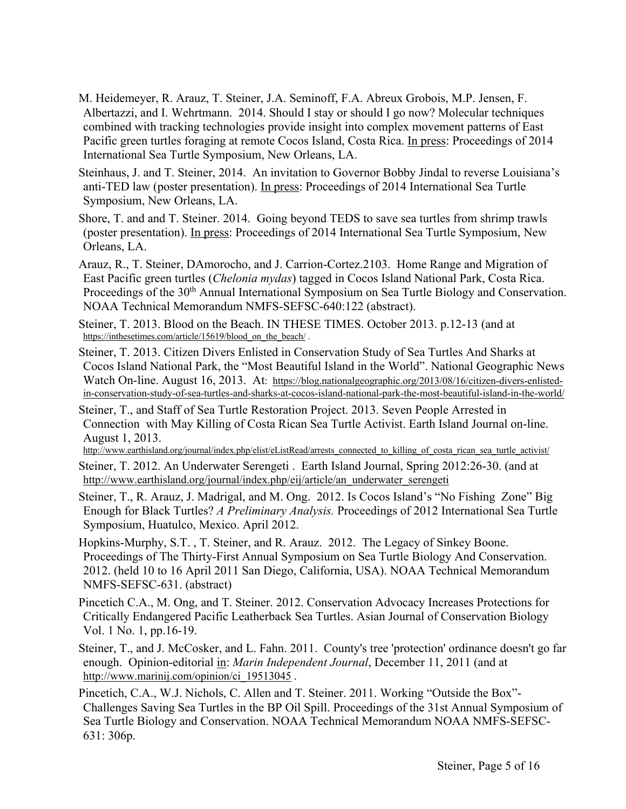- M. Heidemeyer, R. Arauz, T. Steiner, J.A. Seminoff, F.A. Abreux Grobois, M.P. Jensen, F. Albertazzi, and I. Wehrtmann. 2014. Should I stay or should I go now? Molecular techniques combined with tracking technologies provide insight into complex movement patterns of East Pacific green turtles foraging at remote Cocos Island, Costa Rica. In press: Proceedings of 2014 International Sea Turtle Symposium, New Orleans, LA.
- Steinhaus, J. and T. Steiner, 2014. An invitation to Governor Bobby Jindal to reverse Louisiana's anti-TED law (poster presentation). In press: Proceedings of 2014 International Sea Turtle Symposium, New Orleans, LA.
- Shore, T. and and T. Steiner. 2014. Going beyond TEDS to save sea turtles from shrimp trawls (poster presentation). In press: Proceedings of 2014 International Sea Turtle Symposium, New Orleans, LA.
- Arauz, R., T. Steiner, DAmorocho, and J. Carrion-Cortez.2103. Home Range and Migration of East Pacific green turtles (*Chelonia mydas*) tagged in Cocos Island National Park, Costa Rica. Proceedings of the 30<sup>th</sup> Annual International Symposium on Sea Turtle Biology and Conservation. NOAA Technical Memorandum NMFS-SEFSC-640:122 (abstract).
- Steiner, T. 2013. Blood on the Beach. IN THESE TIMES. October 2013. p.12-13 (and at https://inthesetimes.com/article/15619/blood\_on\_the\_beach/.
- Steiner, T. 2013. Citizen Divers Enlisted in Conservation Study of Sea Turtles And Sharks at Cocos Island National Park, the "Most Beautiful Island in the World". National Geographic News Watch On-line. August 16, 2013. At: https://blog.nationalgeographic.org/2013/08/16/citizen-divers-enlistedin-conservation-study-of-sea-turtles-and-sharks-at-cocos-island-national-park-the-most-beautiful-island-in-the-world/
- Steiner, T., and Staff of Sea Turtle Restoration Project. 2013. Seven People Arrested in Connection with May Killing of Costa Rican Sea Turtle Activist. Earth Island Journal on-line. August 1, 2013.

http://www.earthisland.org/journal/index.php/elist/eListRead/arrests\_connected\_to\_killing\_of\_costa\_rican\_sea\_turtle\_activist/

- Steiner, T. 2012. An Underwater Serengeti . Earth Island Journal, Spring 2012:26-30. (and at http://www.earthisland.org/journal/index.php/eij/article/an\_underwater\_serengeti
- Steiner, T., R. Arauz, J. Madrigal, and M. Ong. 2012. Is Cocos Island's "No Fishing Zone" Big Enough for Black Turtles? *A Preliminary Analysis.* Proceedings of 2012 International Sea Turtle Symposium, Huatulco, Mexico. April 2012.
- Hopkins-Murphy, S.T. , T. Steiner, and R. Arauz. 2012. The Legacy of Sinkey Boone. Proceedings of The Thirty-First Annual Symposium on Sea Turtle Biology And Conservation. 2012. (held 10 to 16 April 2011 San Diego, California, USA). NOAA Technical Memorandum NMFS-SEFSC-631. (abstract)
- Pincetich C.A., M. Ong, and T. Steiner. 2012. Conservation Advocacy Increases Protections for Critically Endangered Pacific Leatherback Sea Turtles. Asian Journal of Conservation Biology Vol. 1 No. 1, pp.16-19.
- Steiner, T., and J. McCosker, and L. Fahn. 2011. County's tree 'protection' ordinance doesn't go far enough. Opinion-editorial in: *Marin Independent Journal*, December 11, 2011 (and at http://www.marinij.com/opinion/ci\_19513045 .
- Pincetich, C.A., W.J. Nichols, C. Allen and T. Steiner. 2011. Working "Outside the Box"- Challenges Saving Sea Turtles in the BP Oil Spill. Proceedings of the 31st Annual Symposium of Sea Turtle Biology and Conservation. NOAA Technical Memorandum NOAA NMFS-SEFSC-631: 306p.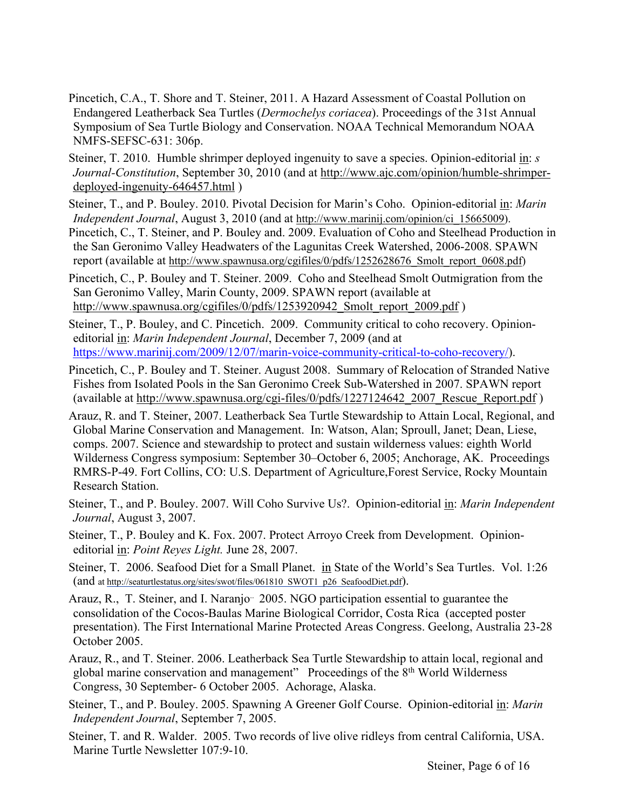- Pincetich, C.A., T. Shore and T. Steiner, 2011. A Hazard Assessment of Coastal Pollution on Endangered Leatherback Sea Turtles (*Dermochelys coriacea*). Proceedings of the 31st Annual Symposium of Sea Turtle Biology and Conservation. NOAA Technical Memorandum NOAA NMFS-SEFSC-631: 306p.
- Steiner, T. 2010. Humble shrimper deployed ingenuity to save a species. Opinion-editorial in: *s Journal-Constitution*, September 30, 2010 (and at http://www.ajc.com/opinion/humble-shrimperdeployed-ingenuity-646457.html )

Steiner, T., and P. Bouley. 2010. Pivotal Decision for Marin's Coho. Opinion-editorial in: *Marin Independent Journal*, August 3, 2010 (and at http://www.marinij.com/opinion/ci\_15665009). Pincetich, C., T. Steiner, and P. Bouley and. 2009. Evaluation of Coho and Steelhead Production in

the San Geronimo Valley Headwaters of the Lagunitas Creek Watershed, 2006-2008. SPAWN report (available at http://www.spawnusa.org/cgifiles/0/pdfs/1252628676 Smolt report 0608.pdf)

Pincetich, C., P. Bouley and T. Steiner. 2009. Coho and Steelhead Smolt Outmigration from the San Geronimo Valley, Marin County, 2009. SPAWN report (available at http://www.spawnusa.org/cgifiles/0/pdfs/1253920942 Smolt report 2009.pdf )

Steiner, T., P. Bouley, and C. Pincetich. 2009. Community critical to coho recovery. Opinioneditorial in: *Marin Independent Journal*, December 7, 2009 (and at https://www.marinij.com/2009/12/07/marin-voice-community-critical-to-coho-recovery/).

Pincetich, C., P. Bouley and T. Steiner. August 2008. Summary of Relocation of Stranded Native Fishes from Isolated Pools in the San Geronimo Creek Sub-Watershed in 2007. SPAWN report (available at http://www.spawnusa.org/cgi-files/0/pdfs/1227124642\_2007\_Rescue\_Report.pdf )

Arauz, R. and T. Steiner, 2007. Leatherback Sea Turtle Stewardship to Attain Local, Regional, and Global Marine Conservation and Management. In: Watson, Alan; Sproull, Janet; Dean, Liese, comps. 2007. Science and stewardship to protect and sustain wilderness values: eighth World Wilderness Congress symposium: September 30–October 6, 2005; Anchorage, AK. Proceedings RMRS-P-49. Fort Collins, CO: U.S. Department of Agriculture,Forest Service, Rocky Mountain Research Station.

Steiner, T., and P. Bouley. 2007. Will Coho Survive Us?. Opinion-editorial in: *Marin Independent Journal*, August 3, 2007.

- Steiner, T., P. Bouley and K. Fox. 2007. Protect Arroyo Creek from Development. Opinioneditorial in: *Point Reyes Light.* June 28, 2007.
- Steiner, T. 2006. Seafood Diet for a Small Planet. in State of the World's Sea Turtles. Vol. 1:26 (and at http://seaturtlestatus.org/sites/swot/files/061810\_SWOT1\_p26\_SeafoodDiet.pdf).
- Arauz, R., T. Steiner, and I. Naranjo<sup>..</sup> 2005. NGO participation essential to guarantee the consolidation of the Cocos-Baulas Marine Biological Corridor, Costa Rica (accepted poster presentation). The First International Marine Protected Areas Congress. Geelong, Australia 23-28 October 2005.
- Arauz, R., and T. Steiner. 2006. Leatherback Sea Turtle Stewardship to attain local, regional and global marine conservation and management" Proceedings of the 8<sup>th</sup> World Wilderness Congress, 30 September- 6 October 2005. Achorage, Alaska.
- Steiner, T., and P. Bouley. 2005. Spawning A Greener Golf Course. Opinion-editorial in: *Marin Independent Journal*, September 7, 2005.
- Steiner, T. and R. Walder. 2005. Two records of live olive ridleys from central California, USA. Marine Turtle Newsletter 107:9-10.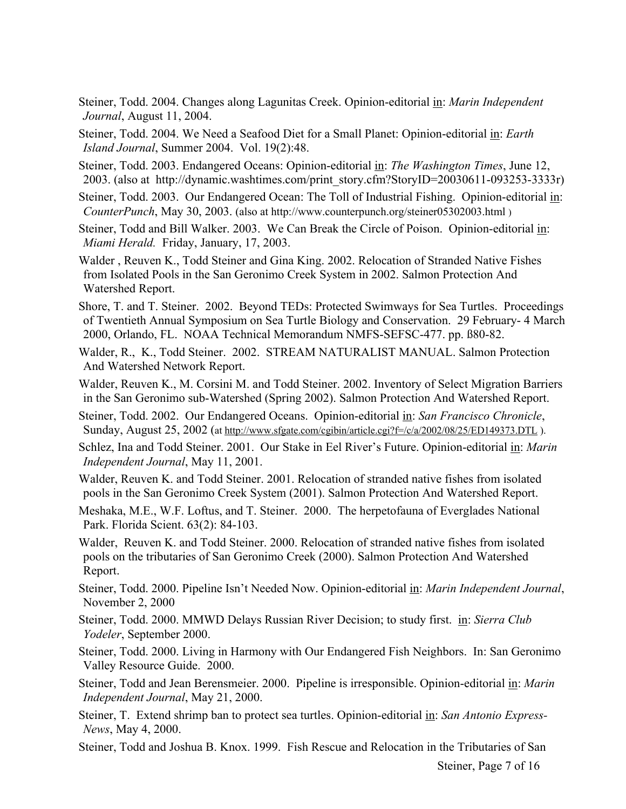Steiner, Todd. 2004. Changes along Lagunitas Creek. Opinion-editorial in: *Marin Independent Journal*, August 11, 2004.

Steiner, Todd. 2004. We Need a Seafood Diet for a Small Planet: Opinion-editorial in: *Earth Island Journal*, Summer 2004. Vol. 19(2):48.

- Steiner, Todd. 2003. Endangered Oceans: Opinion-editorial in: *The Washington Times*, June 12, 2003. (also at http://dynamic.washtimes.com/print\_story.cfm?StoryID=20030611-093253-3333r)
- Steiner, Todd. 2003. Our Endangered Ocean: The Toll of Industrial Fishing. Opinion-editorial in: *CounterPunch*, May 30, 2003. (also at http://www.counterpunch.org/steiner05302003.html )
- Steiner, Todd and Bill Walker. 2003. We Can Break the Circle of Poison. Opinion-editorial in: *Miami Herald.* Friday, January, 17, 2003.
- Walder , Reuven K., Todd Steiner and Gina King. 2002. Relocation of Stranded Native Fishes from Isolated Pools in the San Geronimo Creek System in 2002. Salmon Protection And Watershed Report.
- Shore, T. and T. Steiner. 2002. Beyond TEDs: Protected Swimways for Sea Turtles. Proceedings of Twentieth Annual Symposium on Sea Turtle Biology and Conservation. 29 February- 4 March 2000, Orlando, FL. NOAA Technical Memorandum NMFS-SEFSC-477. pp. ß80-82.
- Walder, R., K., Todd Steiner. 2002. STREAM NATURALIST MANUAL. Salmon Protection And Watershed Network Report.
- Walder, Reuven K., M. Corsini M. and Todd Steiner. 2002. Inventory of Select Migration Barriers in the San Geronimo sub-Watershed (Spring 2002). Salmon Protection And Watershed Report.
- Steiner, Todd. 2002. Our Endangered Oceans. Opinion-editorial in: *San Francisco Chronicle*, Sunday, August 25, 2002 (at http://www.sfgate.com/cgibin/article.cgi?f=/c/a/2002/08/25/ED149373.DTL ).
- Schlez, Ina and Todd Steiner. 2001. Our Stake in Eel River's Future. Opinion-editorial in: *Marin Independent Journal*, May 11, 2001.

Walder, Reuven K. and Todd Steiner. 2001. Relocation of stranded native fishes from isolated pools in the San Geronimo Creek System (2001). Salmon Protection And Watershed Report.

- Meshaka, M.E., W.F. Loftus, and T. Steiner. 2000. The herpetofauna of Everglades National Park. Florida Scient. 63(2): 84-103.
- Walder, Reuven K. and Todd Steiner. 2000. Relocation of stranded native fishes from isolated pools on the tributaries of San Geronimo Creek (2000). Salmon Protection And Watershed Report.
- Steiner, Todd. 2000. Pipeline Isn't Needed Now. Opinion-editorial in: *Marin Independent Journal*, November 2, 2000
- Steiner, Todd. 2000. MMWD Delays Russian River Decision; to study first. in: *Sierra Club Yodeler*, September 2000.
- Steiner, Todd. 2000. Living in Harmony with Our Endangered Fish Neighbors. In: San Geronimo Valley Resource Guide. 2000.
- Steiner, Todd and Jean Berensmeier. 2000. Pipeline is irresponsible. Opinion-editorial in: *Marin Independent Journal*, May 21, 2000.
- Steiner, T. Extend shrimp ban to protect sea turtles. Opinion-editorial in: *San Antonio Express-News*, May 4, 2000.
- Steiner, Todd and Joshua B. Knox. 1999. Fish Rescue and Relocation in the Tributaries of San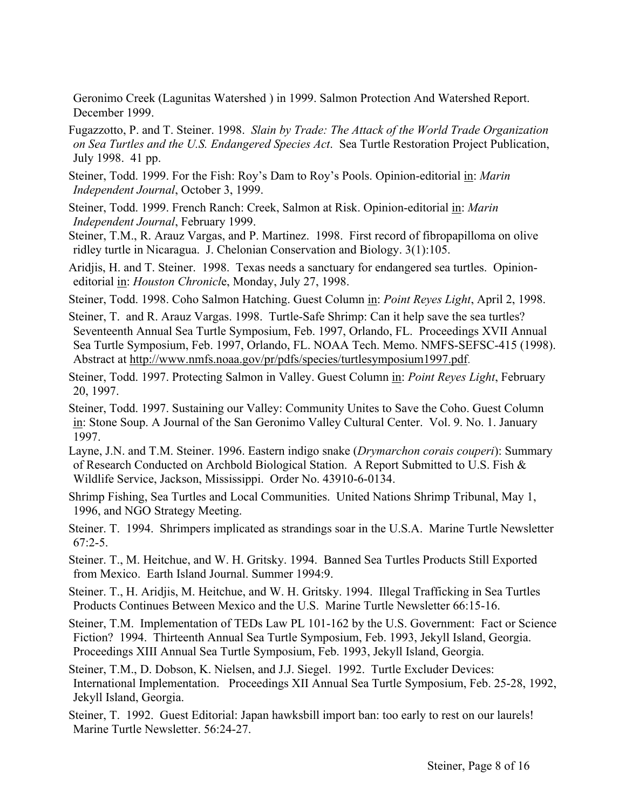Geronimo Creek (Lagunitas Watershed ) in 1999. Salmon Protection And Watershed Report. December 1999.

- Fugazzotto, P. and T. Steiner. 1998. *Slain by Trade: The Attack of the World Trade Organization on Sea Turtles and the U.S. Endangered Species Act*. Sea Turtle Restoration Project Publication, July 1998. 41 pp.
- Steiner, Todd. 1999. For the Fish: Roy's Dam to Roy's Pools. Opinion-editorial in: *Marin Independent Journal*, October 3, 1999.
- Steiner, Todd. 1999. French Ranch: Creek, Salmon at Risk. Opinion-editorial in: *Marin Independent Journal*, February 1999.
- Steiner, T.M., R. Arauz Vargas, and P. Martinez. 1998. First record of fibropapilloma on olive ridley turtle in Nicaragua. J. Chelonian Conservation and Biology. 3(1):105.
- Aridjis, H. and T. Steiner. 1998. Texas needs a sanctuary for endangered sea turtles. Opinioneditorial in: *Houston Chronicl*e, Monday, July 27, 1998.
- Steiner, Todd. 1998. Coho Salmon Hatching. Guest Column in: *Point Reyes Light*, April 2, 1998.
- Steiner, T. and R. Arauz Vargas. 1998. Turtle-Safe Shrimp: Can it help save the sea turtles? Seventeenth Annual Sea Turtle Symposium, Feb. 1997, Orlando, FL. Proceedings XVII Annual Sea Turtle Symposium, Feb. 1997, Orlando, FL. NOAA Tech. Memo. NMFS-SEFSC-415 (1998). Abstract at http://www.nmfs.noaa.gov/pr/pdfs/species/turtlesymposium1997.pdf.
- Steiner, Todd. 1997. Protecting Salmon in Valley. Guest Column in: *Point Reyes Light*, February 20, 1997.
- Steiner, Todd. 1997. Sustaining our Valley: Community Unites to Save the Coho. Guest Column in: Stone Soup. A Journal of the San Geronimo Valley Cultural Center. Vol. 9. No. 1. January 1997.
- Layne, J.N. and T.M. Steiner. 1996. Eastern indigo snake (*Drymarchon corais couperi*): Summary of Research Conducted on Archbold Biological Station. A Report Submitted to U.S. Fish & Wildlife Service, Jackson, Mississippi. Order No. 43910-6-0134.
- Shrimp Fishing, Sea Turtles and Local Communities. United Nations Shrimp Tribunal, May 1, 1996, and NGO Strategy Meeting.
- Steiner. T. 1994. Shrimpers implicated as strandings soar in the U.S.A. Marine Turtle Newsletter  $67:2-5$ .
- Steiner. T., M. Heitchue, and W. H. Gritsky. 1994. Banned Sea Turtles Products Still Exported from Mexico. Earth Island Journal. Summer 1994:9.
- Steiner. T., H. Aridjis, M. Heitchue, and W. H. Gritsky. 1994. Illegal Trafficking in Sea Turtles Products Continues Between Mexico and the U.S. Marine Turtle Newsletter 66:15-16.
- Steiner, T.M. Implementation of TEDs Law PL 101-162 by the U.S. Government: Fact or Science Fiction? 1994. Thirteenth Annual Sea Turtle Symposium, Feb. 1993, Jekyll Island, Georgia. Proceedings XIII Annual Sea Turtle Symposium, Feb. 1993, Jekyll Island, Georgia.
- Steiner, T.M., D. Dobson, K. Nielsen, and J.J. Siegel. 1992. Turtle Excluder Devices: International Implementation. Proceedings XII Annual Sea Turtle Symposium, Feb. 25-28, 1992, Jekyll Island, Georgia.
- Steiner, T. 1992. Guest Editorial: Japan hawksbill import ban: too early to rest on our laurels! Marine Turtle Newsletter. 56:24-27.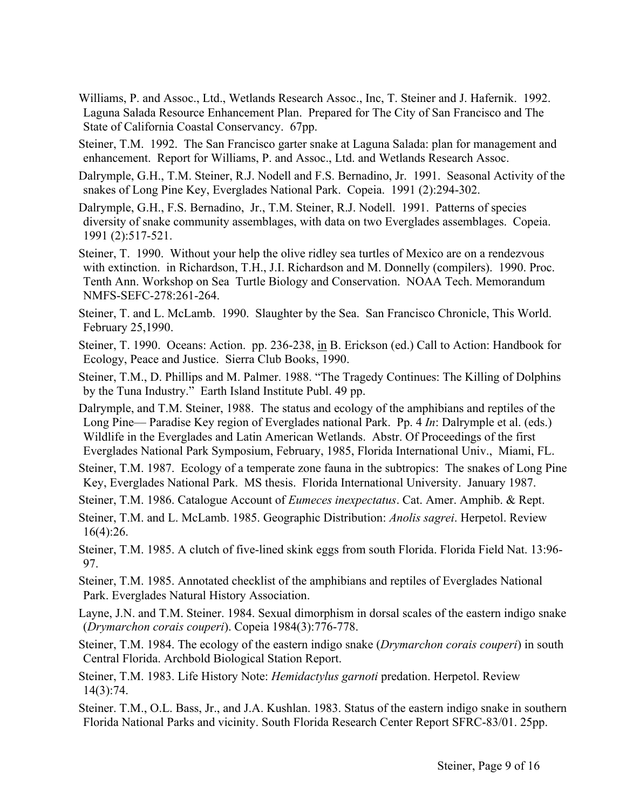- Williams, P. and Assoc., Ltd., Wetlands Research Assoc., Inc, T. Steiner and J. Hafernik. 1992. Laguna Salada Resource Enhancement Plan. Prepared for The City of San Francisco and The State of California Coastal Conservancy. 67pp.
- Steiner, T.M. 1992. The San Francisco garter snake at Laguna Salada: plan for management and enhancement. Report for Williams, P. and Assoc., Ltd. and Wetlands Research Assoc.
- Dalrymple, G.H., T.M. Steiner, R.J. Nodell and F.S. Bernadino, Jr. 1991. Seasonal Activity of the snakes of Long Pine Key, Everglades National Park. Copeia. 1991 (2):294-302.
- Dalrymple, G.H., F.S. Bernadino, Jr., T.M. Steiner, R.J. Nodell. 1991. Patterns of species diversity of snake community assemblages, with data on two Everglades assemblages. Copeia. 1991 (2):517-521.
- Steiner, T. 1990. Without your help the olive ridley sea turtles of Mexico are on a rendezvous with extinction. in Richardson, T.H., J.I. Richardson and M. Donnelly (compilers). 1990. Proc. Tenth Ann. Workshop on Sea Turtle Biology and Conservation. NOAA Tech. Memorandum NMFS-SEFC-278:261-264.
- Steiner, T. and L. McLamb. 1990. Slaughter by the Sea. San Francisco Chronicle, This World. February 25,1990.
- Steiner, T. 1990. Oceans: Action. pp. 236-238, in B. Erickson (ed.) Call to Action: Handbook for Ecology, Peace and Justice. Sierra Club Books, 1990.
- Steiner, T.M., D. Phillips and M. Palmer. 1988. "The Tragedy Continues: The Killing of Dolphins by the Tuna Industry." Earth Island Institute Publ. 49 pp.
- Dalrymple, and T.M. Steiner, 1988. The status and ecology of the amphibians and reptiles of the Long Pine–– Paradise Key region of Everglades national Park. Pp. 4 *In*: Dalrymple et al. (eds.) Wildlife in the Everglades and Latin American Wetlands. Abstr. Of Proceedings of the first Everglades National Park Symposium, February, 1985, Florida International Univ., Miami, FL.
- Steiner, T.M. 1987. Ecology of a temperate zone fauna in the subtropics: The snakes of Long Pine Key, Everglades National Park. MS thesis. Florida International University. January 1987.
- Steiner, T.M. 1986. Catalogue Account of *Eumeces inexpectatus*. Cat. Amer. Amphib. & Rept.
- Steiner, T.M. and L. McLamb. 1985. Geographic Distribution: *Anolis sagrei*. Herpetol. Review 16(4):26.
- Steiner, T.M. 1985. A clutch of five-lined skink eggs from south Florida. Florida Field Nat. 13:96- 97.
- Steiner, T.M. 1985. Annotated checklist of the amphibians and reptiles of Everglades National Park. Everglades Natural History Association.
- Layne, J.N. and T.M. Steiner. 1984. Sexual dimorphism in dorsal scales of the eastern indigo snake (*Drymarchon corais couperi*). Copeia 1984(3):776-778.
- Steiner, T.M. 1984. The ecology of the eastern indigo snake (*Drymarchon corais couperi*) in south Central Florida. Archbold Biological Station Report.
- Steiner, T.M. 1983. Life History Note: *Hemidactylus garnoti* predation. Herpetol. Review 14(3):74.
- Steiner. T.M., O.L. Bass, Jr., and J.A. Kushlan. 1983. Status of the eastern indigo snake in southern Florida National Parks and vicinity. South Florida Research Center Report SFRC-83/01. 25pp.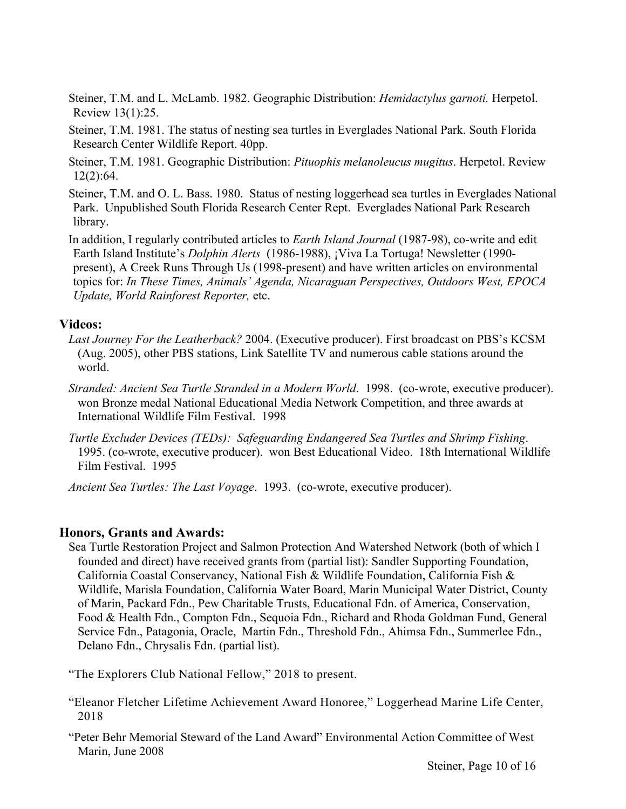- Steiner, T.M. and L. McLamb. 1982. Geographic Distribution: *Hemidactylus garnoti.* Herpetol. Review 13(1):25.
- Steiner, T.M. 1981. The status of nesting sea turtles in Everglades National Park. South Florida Research Center Wildlife Report. 40pp.
- Steiner, T.M. 1981. Geographic Distribution: *Pituophis melanoleucus mugitus*. Herpetol. Review 12(2):64.
- Steiner, T.M. and O. L. Bass. 1980. Status of nesting loggerhead sea turtles in Everglades National Park. Unpublished South Florida Research Center Rept. Everglades National Park Research library.
- In addition, I regularly contributed articles to *Earth Island Journal* (1987-98), co-write and edit Earth Island Institute's *Dolphin Alerts* (1986-1988), ¡Viva La Tortuga! Newsletter (1990 present), A Creek Runs Through Us (1998-present) and have written articles on environmental topics for: *In These Times, Animals' Agenda, Nicaraguan Perspectives, Outdoors West, EPOCA Update, World Rainforest Reporter,* etc.

### **Videos:**

- *Last Journey For the Leatherback?* 2004. (Executive producer). First broadcast on PBS's KCSM (Aug. 2005), other PBS stations, Link Satellite TV and numerous cable stations around the world.
- *Stranded: Ancient Sea Turtle Stranded in a Modern World*. 1998. (co-wrote, executive producer). won Bronze medal National Educational Media Network Competition, and three awards at International Wildlife Film Festival. 1998
- *Turtle Excluder Devices (TEDs): Safeguarding Endangered Sea Turtles and Shrimp Fishing*. 1995. (co-wrote, executive producer). won Best Educational Video. 18th International Wildlife Film Festival. 1995

*Ancient Sea Turtles: The Last Voyage*. 1993. (co-wrote, executive producer).

### **Honors, Grants and Awards:**

Sea Turtle Restoration Project and Salmon Protection And Watershed Network (both of which I founded and direct) have received grants from (partial list): Sandler Supporting Foundation, California Coastal Conservancy, National Fish & Wildlife Foundation, California Fish & Wildlife, Marisla Foundation, California Water Board, Marin Municipal Water District, County of Marin, Packard Fdn., Pew Charitable Trusts, Educational Fdn. of America, Conservation, Food & Health Fdn., Compton Fdn., Sequoia Fdn., Richard and Rhoda Goldman Fund, General Service Fdn., Patagonia, Oracle, Martin Fdn., Threshold Fdn., Ahimsa Fdn., Summerlee Fdn., Delano Fdn., Chrysalis Fdn. (partial list).

"The Explorers Club National Fellow," 2018 to present.

- "Eleanor Fletcher Lifetime Achievement Award Honoree," Loggerhead Marine Life Center, 2018
- "Peter Behr Memorial Steward of the Land Award" Environmental Action Committee of West Marin, June 2008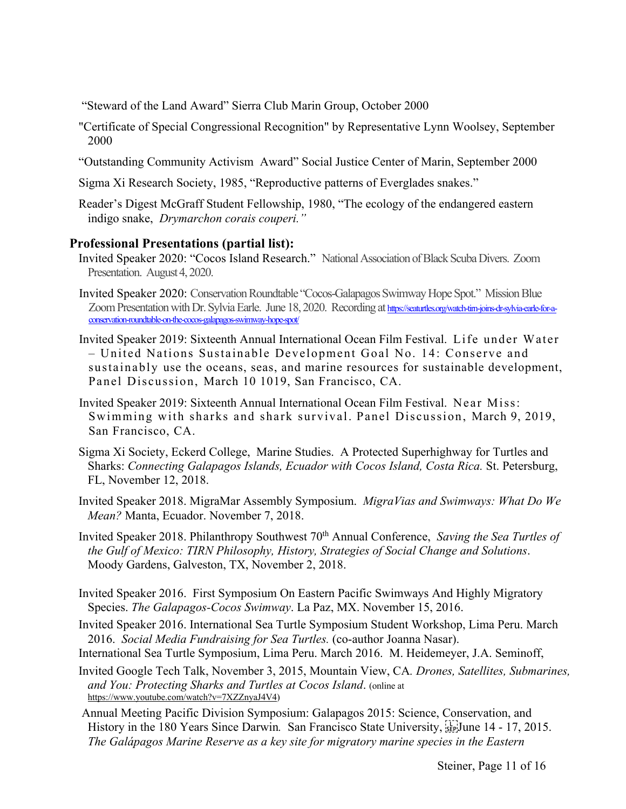"Steward of the Land Award" Sierra Club Marin Group, October 2000

- "Certificate of Special Congressional Recognition" by Representative Lynn Woolsey, September 2000
- "Outstanding Community Activism Award" Social Justice Center of Marin, September 2000
- Sigma Xi Research Society, 1985, "Reproductive patterns of Everglades snakes."
- Reader's Digest McGraff Student Fellowship, 1980, "The ecology of the endangered eastern indigo snake, *Drymarchon corais couperi."*

#### **Professional Presentations (partial list):**

- Invited Speaker 2020: "Cocos Island Research." National Association of Black Scuba Divers. Zoom Presentation. August 4, 2020.
- Invited Speaker 2020: Conservation Roundtable "Cocos-Galapagos Swimway Hope Spot." Mission Blue Zoom Presentation with Dr. Sylvia Earle. June 18, 2020. Recording at https://seaturtles.org/watch-tirn-joins-dr-sylvia-earle-for-aconservation-roundtable-on-the-cocos-galapagos-swimway-hope-spot/
- Invited Speaker 2019: Sixteenth Annual International Ocean Film Festival. Life under Water – United Nations Sustainable Development Goal No. 14: Conserve and sustainably use the oceans, seas, and marine resources for sustainable development, Panel Discussion, March 10 1019, San Francisco, CA.
- Invited Speaker 2019: Sixteenth Annual International Ocean Film Festival. Near Miss: Swimming with sharks and shark survival. Panel Discussion, March 9, 2019, San Francisco, CA.
- Sigma Xi Society, Eckerd College, Marine Studies. A Protected Superhighway for Turtles and Sharks: *Connecting Galapagos Islands, Ecuador with Cocos Island, Costa Rica.* St. Petersburg, FL, November 12, 2018.
- Invited Speaker 2018. MigraMar Assembly Symposium. *MigraVias and Swimways: What Do We Mean?* Manta, Ecuador. November 7, 2018.
- Invited Speaker 2018. Philanthropy Southwest 70<sup>th</sup> Annual Conference, *Saving the Sea Turtles of the Gulf of Mexico: TIRN Philosophy, History, Strategies of Social Change and Solutions*. Moody Gardens, Galveston, TX, November 2, 2018.
- Invited Speaker 2016. First Symposium On Eastern Pacific Swimways And Highly Migratory Species. *The Galapagos-Cocos Swimway*. La Paz, MX. November 15, 2016.
- Invited Speaker 2016. International Sea Turtle Symposium Student Workshop, Lima Peru. March 2016. *Social Media Fundraising for Sea Turtles.* (co-author Joanna Nasar).
- International Sea Turtle Symposium, Lima Peru. March 2016. M. Heidemeyer, J.A. Seminoff,
- Invited Google Tech Talk, November 3, 2015, Mountain View, CA*. Drones, Satellites, Submarines, and You: Protecting Sharks and Turtles at Cocos Island*. (online at https://www.youtube.com/watch?v=7XZZnyaJ4V4)
- Annual Meeting Pacific Division Symposium: Galapagos 2015: Science, Conservation, and History in the 180 Years Since Darwin. San Francisco State University, <sup>1</sup><sub>sep</sub> June 14 - 17, 2015. *The Galápagos Marine Reserve as a key site for migratory marine species in the Eastern*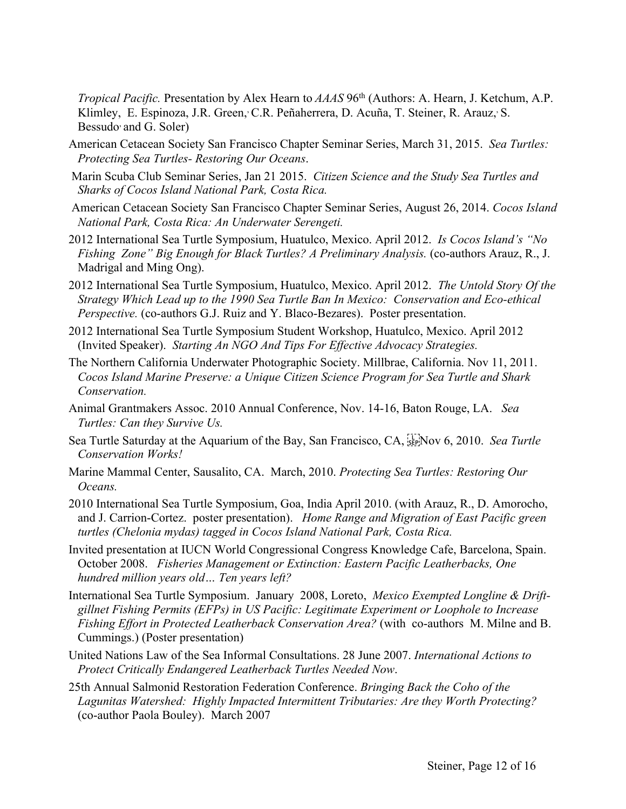*Tropical Pacific.* Presentation by Alex Hearn to *AAAS* 96th (Authors: A. Hearn, J. Ketchum, A.P. Klimley, E. Espinoza, J.R. Green, C.R. Peñaherrera, D. Acuña, T. Steiner, R. Arauz, S. Bessudo and G. Soler)

- American Cetacean Society San Francisco Chapter Seminar Series, March 31, 2015. *Sea Turtles: Protecting Sea Turtles- Restoring Our Oceans*.
- Marin Scuba Club Seminar Series, Jan 21 2015. *Citizen Science and the Study Sea Turtles and Sharks of Cocos Island National Park, Costa Rica.*
- American Cetacean Society San Francisco Chapter Seminar Series, August 26, 2014. *Cocos Island National Park, Costa Rica: An Underwater Serengeti.*
- 2012 International Sea Turtle Symposium, Huatulco, Mexico. April 2012. *Is Cocos Island's "No Fishing Zone" Big Enough for Black Turtles? A Preliminary Analysis.* (co-authors Arauz, R., J. Madrigal and Ming Ong).
- 2012 International Sea Turtle Symposium, Huatulco, Mexico. April 2012. *The Untold Story Of the Strategy Which Lead up to the 1990 Sea Turtle Ban In Mexico: Conservation and Eco-ethical Perspective.* (co-authors G.J. Ruiz and Y. Blaco-Bezares). Poster presentation.
- 2012 International Sea Turtle Symposium Student Workshop, Huatulco, Mexico. April 2012 (Invited Speaker). *Starting An NGO And Tips For Effective Advocacy Strategies.*
- The Northern California Underwater Photographic Society. Millbrae, California. Nov 11, 2011. *Cocos Island Marine Preserve: a Unique Citizen Science Program for Sea Turtle and Shark Conservation.*
- Animal Grantmakers Assoc. 2010 Annual Conference, Nov. 14-16, Baton Rouge, LA. *Sea Turtles: Can they Survive Us.*
- Sea Turtle Saturday at the Aquarium of the Bay, San Francisco, CA, <sup>[17</sup>] Nov 6, 2010. *Sea Turtle Conservation Works!*
- Marine Mammal Center, Sausalito, CA. March, 2010. *Protecting Sea Turtles: Restoring Our Oceans.*
- 2010 International Sea Turtle Symposium, Goa, India April 2010. (with Arauz, R., D. Amorocho, and J. Carrion-Cortez. poster presentation). *Home Range and Migration of East Pacific green turtles (Chelonia mydas) tagged in Cocos Island National Park, Costa Rica.*
- Invited presentation at IUCN World Congressional Congress Knowledge Cafe, Barcelona, Spain. October 2008. *Fisheries Management or Extinction: Eastern Pacific Leatherbacks, One hundred million years old… Ten years left?*
- International Sea Turtle Symposium. January 2008, Loreto, *Mexico Exempted Longline & Driftgillnet Fishing Permits (EFPs) in US Pacific: Legitimate Experiment or Loophole to Increase Fishing Effort in Protected Leatherback Conservation Area?* (with co-authors M. Milne and B. Cummings.) (Poster presentation)
- United Nations Law of the Sea Informal Consultations. 28 June 2007. *International Actions to Protect Critically Endangered Leatherback Turtles Needed Now*.
- 25th Annual Salmonid Restoration Federation Conference. *Bringing Back the Coho of the Lagunitas Watershed: Highly Impacted Intermittent Tributaries: Are they Worth Protecting?* (co-author Paola Bouley). March 2007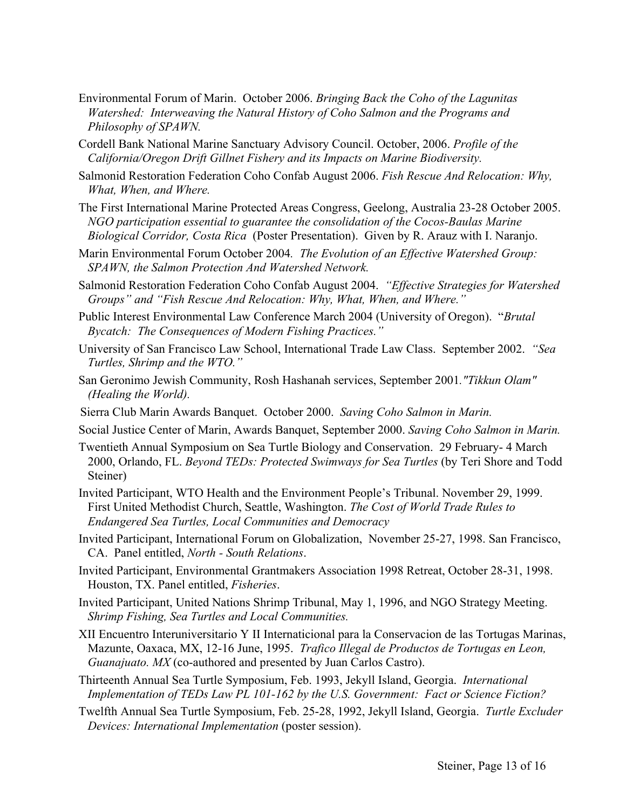- Environmental Forum of Marin. October 2006. *Bringing Back the Coho of the Lagunitas Watershed: Interweaving the Natural History of Coho Salmon and the Programs and Philosophy of SPAWN.*
- Cordell Bank National Marine Sanctuary Advisory Council. October, 2006. *Profile of the California/Oregon Drift Gillnet Fishery and its Impacts on Marine Biodiversity.*
- Salmonid Restoration Federation Coho Confab August 2006. *Fish Rescue And Relocation: Why, What, When, and Where.*
- The First International Marine Protected Areas Congress, Geelong, Australia 23-28 October 2005. *NGO participation essential to guarantee the consolidation of the Cocos-Baulas Marine Biological Corridor, Costa Rica* (Poster Presentation). Given by R. Arauz with I. Naranjo.
- Marin Environmental Forum October 2004*. The Evolution of an Effective Watershed Group: SPAWN, the Salmon Protection And Watershed Network.*
- Salmonid Restoration Federation Coho Confab August 2004. *"Effective Strategies for Watershed Groups" and "Fish Rescue And Relocation: Why, What, When, and Where."*
- Public Interest Environmental Law Conference March 2004 (University of Oregon). "*Brutal Bycatch: The Consequences of Modern Fishing Practices."*
- University of San Francisco Law School, International Trade Law Class. September 2002. *"Sea Turtles, Shrimp and the WTO."*
- San Geronimo Jewish Community, Rosh Hashanah services, September 2001*."Tikkun Olam" (Healing the World).*
- Sierra Club Marin Awards Banquet. October 2000. *Saving Coho Salmon in Marin.*
- Social Justice Center of Marin, Awards Banquet, September 2000. *Saving Coho Salmon in Marin.*
- Twentieth Annual Symposium on Sea Turtle Biology and Conservation. 29 February- 4 March 2000, Orlando, FL. *Beyond TEDs: Protected Swimways for Sea Turtles* (by Teri Shore and Todd Steiner)
- Invited Participant, WTO Health and the Environment People's Tribunal. November 29, 1999. First United Methodist Church, Seattle, Washington. *The Cost of World Trade Rules to Endangered Sea Turtles, Local Communities and Democracy*
- Invited Participant, International Forum on Globalization, November 25-27, 1998. San Francisco, CA. Panel entitled, *North - South Relations*.
- Invited Participant, Environmental Grantmakers Association 1998 Retreat, October 28-31, 1998. Houston, TX. Panel entitled, *Fisheries*.
- Invited Participant, United Nations Shrimp Tribunal, May 1, 1996, and NGO Strategy Meeting. *Shrimp Fishing, Sea Turtles and Local Communities.*
- XII Encuentro Interuniversitario Y II Internaticional para la Conservacion de las Tortugas Marinas, Mazunte, Oaxaca, MX, 12-16 June, 1995. *Trafico Illegal de Productos de Tortugas en Leon, Guanajuato. MX* (co-authored and presented by Juan Carlos Castro).
- Thirteenth Annual Sea Turtle Symposium, Feb. 1993, Jekyll Island, Georgia. *International Implementation of TEDs Law PL 101-162 by the U.S. Government: Fact or Science Fiction?*
- Twelfth Annual Sea Turtle Symposium, Feb. 25-28, 1992, Jekyll Island, Georgia. *Turtle Excluder Devices: International Implementation* (poster session).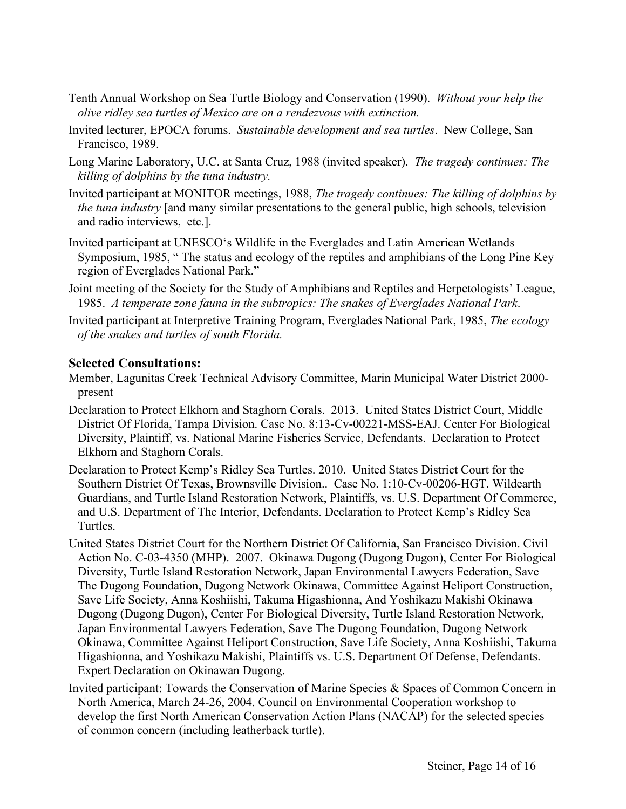- Tenth Annual Workshop on Sea Turtle Biology and Conservation (1990). *Without your help the olive ridley sea turtles of Mexico are on a rendezvous with extinction.*
- Invited lecturer, EPOCA forums. *Sustainable development and sea turtles*. New College, San Francisco, 1989.
- Long Marine Laboratory, U.C. at Santa Cruz, 1988 (invited speaker). *The tragedy continues: The killing of dolphins by the tuna industry.*
- Invited participant at MONITOR meetings, 1988, *The tragedy continues: The killing of dolphins by the tuna industry* [and many similar presentations to the general public, high schools, television and radio interviews, etc.].
- Invited participant at UNESCO's Wildlife in the Everglades and Latin American Wetlands Symposium, 1985, " The status and ecology of the reptiles and amphibians of the Long Pine Key region of Everglades National Park."
- Joint meeting of the Society for the Study of Amphibians and Reptiles and Herpetologists' League, 1985. *A temperate zone fauna in the subtropics: The snakes of Everglades National Park*.
- Invited participant at Interpretive Training Program, Everglades National Park, 1985, *The ecology of the snakes and turtles of south Florida.*

# **Selected Consultations:**

- Member, Lagunitas Creek Technical Advisory Committee, Marin Municipal Water District 2000 present
- Declaration to Protect Elkhorn and Staghorn Corals. 2013. United States District Court, Middle District Of Florida, Tampa Division. Case No. 8:13-Cv-00221-MSS-EAJ. Center For Biological Diversity, Plaintiff, vs. National Marine Fisheries Service, Defendants. Declaration to Protect Elkhorn and Staghorn Corals.
- Declaration to Protect Kemp's Ridley Sea Turtles. 2010. United States District Court for the Southern District Of Texas, Brownsville Division.. Case No. 1:10-Cv-00206-HGT. Wildearth Guardians, and Turtle Island Restoration Network, Plaintiffs, vs. U.S. Department Of Commerce, and U.S. Department of The Interior, Defendants. Declaration to Protect Kemp's Ridley Sea Turtles.
- United States District Court for the Northern District Of California, San Francisco Division. Civil Action No. C-03-4350 (MHP). 2007. Okinawa Dugong (Dugong Dugon), Center For Biological Diversity, Turtle Island Restoration Network, Japan Environmental Lawyers Federation, Save The Dugong Foundation, Dugong Network Okinawa, Committee Against Heliport Construction, Save Life Society, Anna Koshiishi, Takuma Higashionna, And Yoshikazu Makishi Okinawa Dugong (Dugong Dugon), Center For Biological Diversity, Turtle Island Restoration Network, Japan Environmental Lawyers Federation, Save The Dugong Foundation, Dugong Network Okinawa, Committee Against Heliport Construction, Save Life Society, Anna Koshiishi, Takuma Higashionna, and Yoshikazu Makishi, Plaintiffs vs. U.S. Department Of Defense, Defendants. Expert Declaration on Okinawan Dugong.
- Invited participant: Towards the Conservation of Marine Species & Spaces of Common Concern in North America, March 24-26, 2004. Council on Environmental Cooperation workshop to develop the first North American Conservation Action Plans (NACAP) for the selected species of common concern (including leatherback turtle).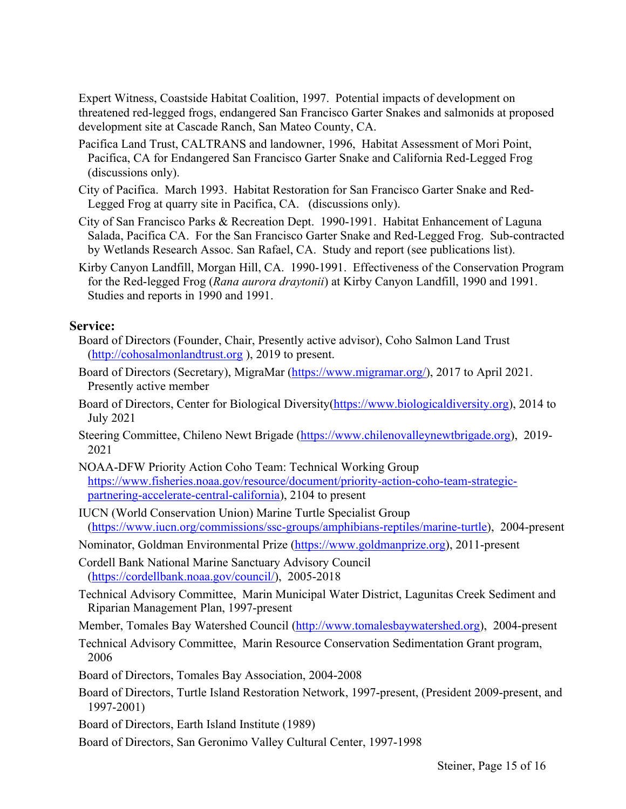Expert Witness, Coastside Habitat Coalition, 1997. Potential impacts of development on threatened red-legged frogs, endangered San Francisco Garter Snakes and salmonids at proposed development site at Cascade Ranch, San Mateo County, CA.

- Pacifica Land Trust, CALTRANS and landowner, 1996, Habitat Assessment of Mori Point, Pacifica, CA for Endangered San Francisco Garter Snake and California Red-Legged Frog (discussions only).
- City of Pacifica. March 1993. Habitat Restoration for San Francisco Garter Snake and Red-Legged Frog at quarry site in Pacifica, CA. (discussions only).
- City of San Francisco Parks & Recreation Dept. 1990-1991. Habitat Enhancement of Laguna Salada, Pacifica CA. For the San Francisco Garter Snake and Red-Legged Frog. Sub-contracted by Wetlands Research Assoc. San Rafael, CA. Study and report (see publications list).
- Kirby Canyon Landfill, Morgan Hill, CA. 1990-1991. Effectiveness of the Conservation Program for the Red-legged Frog (*Rana aurora draytonii*) at Kirby Canyon Landfill, 1990 and 1991. Studies and reports in 1990 and 1991.

#### **Service:**

- Board of Directors (Founder, Chair, Presently active advisor), Coho Salmon Land Trust (http://cohosalmonlandtrust.org ), 2019 to present.
- Board of Directors (Secretary), MigraMar (https://www.migramar.org/), 2017 to April 2021. Presently active member
- Board of Directors, Center for Biological Diversity(https://www.biologicaldiversity.org), 2014 to July 2021
- Steering Committee, Chileno Newt Brigade (https://www.chilenovalleynewtbrigade.org), 2019- 2021
- NOAA-DFW Priority Action Coho Team: Technical Working Group https://www.fisheries.noaa.gov/resource/document/priority-action-coho-team-strategicpartnering-accelerate-central-california), 2104 to present
- IUCN (World Conservation Union) Marine Turtle Specialist Group (https://www.iucn.org/commissions/ssc-groups/amphibians-reptiles/marine-turtle), 2004-present
- Nominator, Goldman Environmental Prize (https://www.goldmanprize.org), 2011-present
- Cordell Bank National Marine Sanctuary Advisory Council (https://cordellbank.noaa.gov/council/), 2005-2018
- Technical Advisory Committee, Marin Municipal Water District, Lagunitas Creek Sediment and Riparian Management Plan, 1997-present
- Member, Tomales Bay Watershed Council (http://www.tomalesbaywatershed.org), 2004-present
- Technical Advisory Committee, Marin Resource Conservation Sedimentation Grant program, 2006
- Board of Directors, Tomales Bay Association, 2004-2008
- Board of Directors, Turtle Island Restoration Network, 1997-present, (President 2009-present, and 1997-2001)
- Board of Directors, Earth Island Institute (1989)
- Board of Directors, San Geronimo Valley Cultural Center, 1997-1998